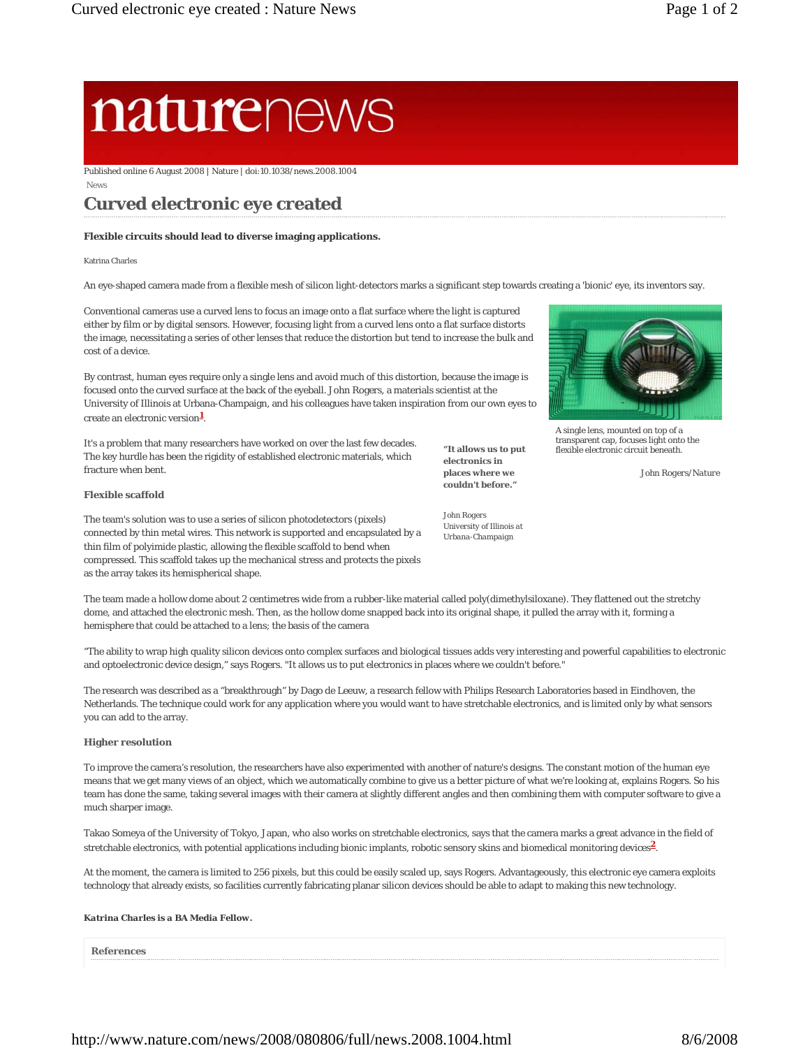# naturenews

Published online 6 August 2008 | Nature | doi:10.1038/news.2008.1004

News

## **Curved electronic eye created**

#### **Flexible circuits should lead to diverse imaging applications.**

Katrina Charles

An eye-shaped camera made from a flexible mesh of silicon light-detectors marks a significant step towards creating a 'bionic' eye, its inventors say.

Conventional cameras use a curved lens to focus an image onto a flat surface where the light is captured either by film or by digital sensors. However, focusing light from a curved lens onto a flat surface distorts the image, necessitating a series of other lenses that reduce the distortion but tend to increase the bulk and cost of a device.

By contrast, human eyes require only a single lens and avoid much of this distortion, because the image is focused onto the curved surface at the back of the eyeball. John Rogers, a materials scientist at the University of Illinois at Urbana-Champaign, and his colleagues have taken inspiration from our own eyes to create an electronic version<sup>1</sup>.

It's a problem that many researchers have worked on over the last few decades. The key hurdle has been the rigidity of established electronic materials, which fracture when bent.

#### **Flexible scaffold**

The team's solution was to use a series of silicon photodetectors (pixels) connected by thin metal wires. This network is supported and encapsulated by a thin film of polyimide plastic, allowing the flexible scaffold to bend when compressed. This scaffold takes up the mechanical stress and protects the pixels as the array takes its hemispherical shape.

**"It allows us to put electronics in places where we couldn't before."** 

*John Rogers University of Illinois at Urbana-Champaign* 



A single lens, mounted on top of a transparent cap, focuses light onto the flexible electronic circuit beneath.

*John Rogers/Nature*

The team made a hollow dome about 2 centimetres wide from a rubber-like material called poly(dimethylsiloxane). They flattened out the stretchy dome, and attached the electronic mesh. Then, as the hollow dome snapped back into its original shape, it pulled the array with it, forming a hemisphere that could be attached to a lens; the basis of the camera

"The ability to wrap high quality silicon devices onto complex surfaces and biological tissues adds very interesting and powerful capabilities to electronic and optoelectronic device design," says Rogers. "It allows us to put electronics in places where we couldn't before."

The research was described as a "breakthrough" by Dago de Leeuw, a research fellow with Philips Research Laboratories based in Eindhoven, the Netherlands. The technique could work for any application where you would want to have stretchable electronics, and is limited only by what sensors you can add to the array.

#### **Higher resolution**

To improve the camera's resolution, the researchers have also experimented with another of nature's designs. The constant motion of the human eye means that we get many views of an object, which we automatically combine to give us a better picture of what we're looking at, explains Rogers. So his team has done the same, taking several images with their camera at slightly different angles and then combining them with computer software to give a much sharper image.

Takao Someya of the University of Tokyo, Japan, who also works on stretchable electronics, says that the camera marks a great advance in the field of stretchable electronics, with potential applications including bionic implants, robotic sensory skins and biomedical monitoring devices**2**.

At the moment, the camera is limited to 256 pixels, but this could be easily scaled up, says Rogers. Advantageously, this electronic eye camera exploits technology that already exists, so facilities currently fabricating planar silicon devices should be able to adapt to making this new technology.

#### *Katrina Charles is a BA Media Fellow.*

**References**